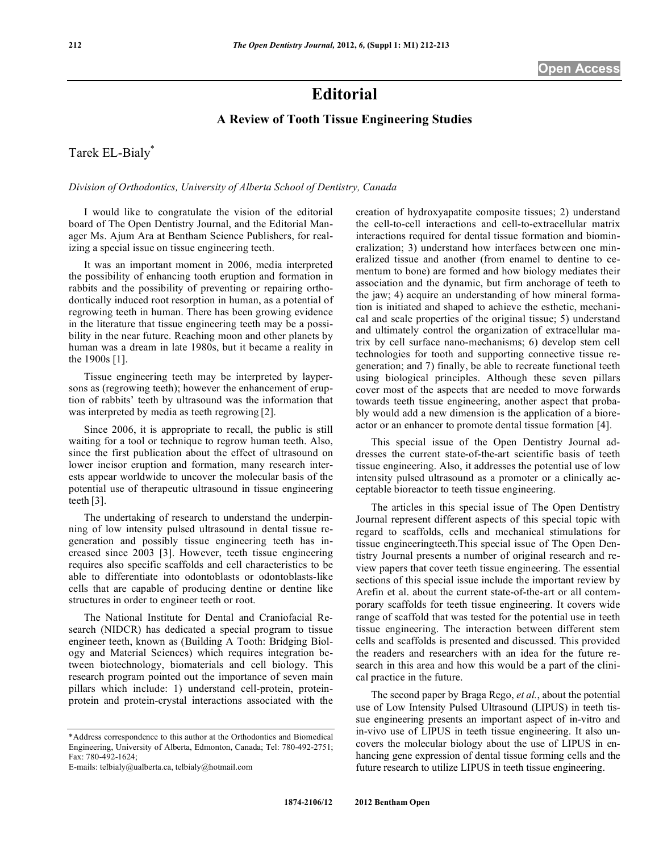## **Editorial**

## **A Review of Tooth Tissue Engineering Studies**

Tarek EL-Bialy\*

*Division of Orthodontics, University of Alberta School of Dentistry, Canada*

I would like to congratulate the vision of the editorial board of The Open Dentistry Journal, and the Editorial Manager Ms. Ajum Ara at Bentham Science Publishers, for realizing a special issue on tissue engineering teeth.

It was an important moment in 2006, media interpreted the possibility of enhancing tooth eruption and formation in rabbits and the possibility of preventing or repairing orthodontically induced root resorption in human, as a potential of regrowing teeth in human. There has been growing evidence in the literature that tissue engineering teeth may be a possibility in the near future. Reaching moon and other planets by human was a dream in late 1980s, but it became a reality in the 1900s [1].

Tissue engineering teeth may be interpreted by laypersons as (regrowing teeth); however the enhancement of eruption of rabbits' teeth by ultrasound was the information that was interpreted by media as teeth regrowing [2].

Since 2006, it is appropriate to recall, the public is still waiting for a tool or technique to regrow human teeth. Also, since the first publication about the effect of ultrasound on lower incisor eruption and formation, many research interests appear worldwide to uncover the molecular basis of the potential use of therapeutic ultrasound in tissue engineering teeth [3].

The undertaking of research to understand the underpinning of low intensity pulsed ultrasound in dental tissue regeneration and possibly tissue engineering teeth has increased since 2003 [3]. However, teeth tissue engineering requires also specific scaffolds and cell characteristics to be able to differentiate into odontoblasts or odontoblasts-like cells that are capable of producing dentine or dentine like structures in order to engineer teeth or root.

The National Institute for Dental and Craniofacial Research (NIDCR) has dedicated a special program to tissue engineer teeth, known as (Building A Tooth: Bridging Biology and Material Sciences) which requires integration between biotechnology, biomaterials and cell biology. This research program pointed out the importance of seven main pillars which include: 1) understand cell-protein, proteinprotein and protein-crystal interactions associated with the creation of hydroxyapatite composite tissues; 2) understand the cell-to-cell interactions and cell-to-extracellular matrix interactions required for dental tissue formation and biomineralization; 3) understand how interfaces between one mineralized tissue and another (from enamel to dentine to cementum to bone) are formed and how biology mediates their association and the dynamic, but firm anchorage of teeth to the jaw; 4) acquire an understanding of how mineral formation is initiated and shaped to achieve the esthetic, mechanical and scale properties of the original tissue; 5) understand and ultimately control the organization of extracellular matrix by cell surface nano-mechanisms; 6) develop stem cell technologies for tooth and supporting connective tissue regeneration; and 7) finally, be able to recreate functional teeth using biological principles. Although these seven pillars cover most of the aspects that are needed to move forwards towards teeth tissue engineering, another aspect that probably would add a new dimension is the application of a bioreactor or an enhancer to promote dental tissue formation [4].

This special issue of the Open Dentistry Journal addresses the current state-of-the-art scientific basis of teeth tissue engineering. Also, it addresses the potential use of low intensity pulsed ultrasound as a promoter or a clinically acceptable bioreactor to teeth tissue engineering.

The articles in this special issue of The Open Dentistry Journal represent different aspects of this special topic with regard to scaffolds, cells and mechanical stimulations for tissue engineeringteeth.This special issue of The Open Dentistry Journal presents a number of original research and review papers that cover teeth tissue engineering. The essential sections of this special issue include the important review by Arefin et al. about the current state-of-the-art or all contemporary scaffolds for teeth tissue engineering. It covers wide range of scaffold that was tested for the potential use in teeth tissue engineering. The interaction between different stem cells and scaffolds is presented and discussed. This provided the readers and researchers with an idea for the future research in this area and how this would be a part of the clinical practice in the future.

The second paper by Braga Rego, *et al.*, about the potential use of Low Intensity Pulsed Ultrasound (LIPUS) in teeth tissue engineering presents an important aspect of in-vitro and in-vivo use of LIPUS in teeth tissue engineering. It also uncovers the molecular biology about the use of LIPUS in enhancing gene expression of dental tissue forming cells and the future research to utilize LIPUS in teeth tissue engineering.

<sup>\*</sup>Address correspondence to this author at the Orthodontics and Biomedical Engineering, University of Alberta, Edmonton, Canada; Tel: 780-492-2751; Fax: 780-492-1624;

E-mails: telbialy@ualberta.ca, telbialy@hotmail.com